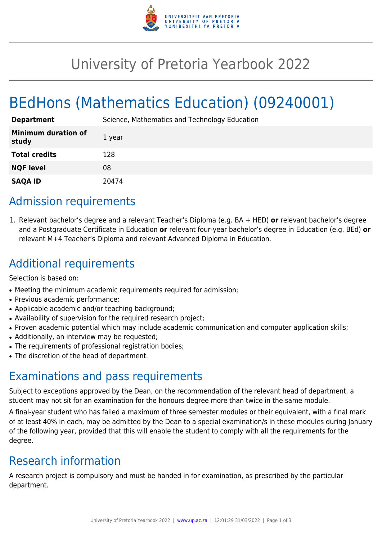

## University of Pretoria Yearbook 2022

# BEdHons (Mathematics Education) (09240001)

| <b>Department</b>                   | Science, Mathematics and Technology Education |
|-------------------------------------|-----------------------------------------------|
| <b>Minimum duration of</b><br>study | 1 year                                        |
| <b>Total credits</b>                | 128                                           |
| <b>NQF level</b>                    | 08                                            |
| <b>SAQA ID</b>                      | 20474                                         |

### Admission requirements

1. Relevant bachelor's degree and a relevant Teacher's Diploma (e.g. BA + HED) **or** relevant bachelor's degree and a Postgraduate Certificate in Education **or** relevant four-year bachelor's degree in Education (e.g. BEd) **or** relevant M+4 Teacher's Diploma and relevant Advanced Diploma in Education.

### Additional requirements

Selection is based on:

- Meeting the minimum academic requirements required for admission;
- Previous academic performance;
- Applicable academic and/or teaching background;
- Availability of supervision for the required research project;
- Proven academic potential which may include academic communication and computer application skills;
- Additionally, an interview may be requested;
- The requirements of professional registration bodies;
- The discretion of the head of department.

#### Examinations and pass requirements

Subject to exceptions approved by the Dean, on the recommendation of the relevant head of department, a student may not sit for an examination for the honours degree more than twice in the same module.

A final-year student who has failed a maximum of three semester modules or their equivalent, with a final mark of at least 40% in each, may be admitted by the Dean to a special examination/s in these modules during January of the following year, provided that this will enable the student to comply with all the requirements for the degree.

### Research information

A research project is compulsory and must be handed in for examination, as prescribed by the particular department.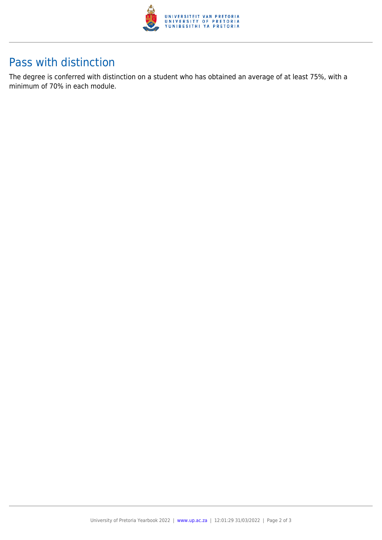

#### Pass with distinction

The degree is conferred with distinction on a student who has obtained an average of at least 75%, with a minimum of 70% in each module.